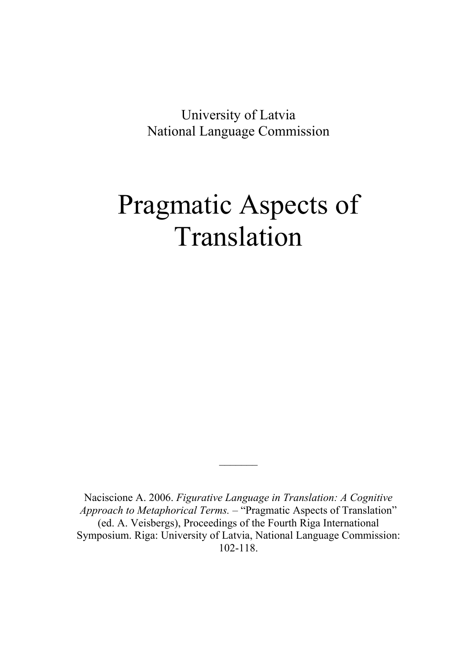University of Latvia National Language Commission

# Pragmatic Aspects of Translation

Naciscione A. 2006. *Figurative Language in Translation: A Cognitive Approach to Metaphorical Terms.* – "Pragmatic Aspects of Translation" (ed. A. Veisbergs), Proceedings of the Fourth Riga International Symposium. Riga: University of Latvia, National Language Commission: 102-118.

 $\frac{1}{2}$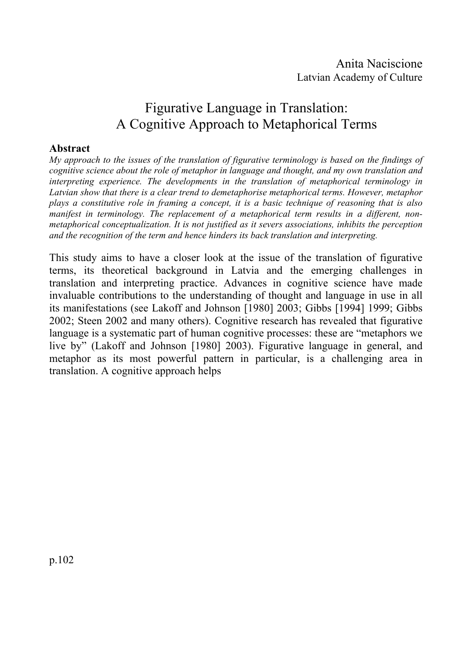# Figurative Language in Translation: A Cognitive Approach to Metaphorical Terms

#### **Abstract**

*My approach to the issues of the translation of figurative terminology is based on the findings of cognitive science about the role of metaphor in language and thought, and my own translation and interpreting experience. The developments in the translation of metaphorical terminology in Latvian show that there is a clear trend to demetaphorise metaphorical terms. However, metaphor plays a constitutive role in framing a concept, it is a basic technique of reasoning that is also manifest in terminology. The replacement of a metaphorical term results in a different, nonmetaphorical conceptualization. It is not justified as it severs associations, inhibits the perception and the recognition of the term and hence hinders its back translation and interpreting.*

This study aims to have a closer look at the issue of the translation of figurative terms, its theoretical background in Latvia and the emerging challenges in translation and interpreting practice. Advances in cognitive science have made invaluable contributions to the understanding of thought and language in use in all its manifestations (see Lakoff and Johnson [1980] 2003; Gibbs [1994] 1999; Gibbs 2002; Steen 2002 and many others). Cognitive research has revealed that figurative language is a systematic part of human cognitive processes: these are "metaphors we live by" (Lakoff and Johnson [1980] 2003). Figurative language in general, and metaphor as its most powerful pattern in particular, is a challenging area in translation. A cognitive approach helps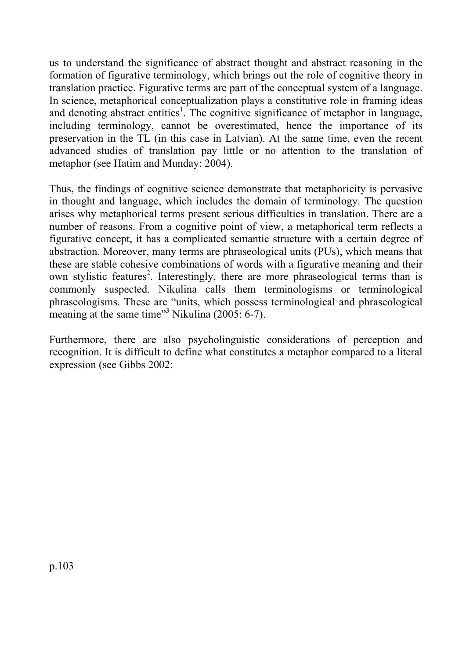us to understand the significance of abstract thought and abstract reasoning in the formation of figurative terminology, which brings out the role of cognitive theory in translation practice. Figurative terms are part of the conceptual system of a language. In science, metaphorical conceptualization plays a constitutive role in framing ideas and denoting abstract entities<sup>1</sup>. The cognitive significance of metaphor in language, including terminology, cannot be overestimated, hence the importance of its preservation in the TL (in this case in Latvian). At the same time, even the recent advanced studies of translation pay little or no attention to the translation of metaphor (see Hatim and Munday: 2004).

Thus, the findings of cognitive science demonstrate that metaphoricity is pervasive in thought and language, which includes the domain of terminology. The question arises why metaphorical terms present serious difficulties in translation. There are a number of reasons. From a cognitive point of view, a metaphorical term reflects a figurative concept, it has a complicated semantic structure with a certain degree of abstraction. Moreover, many terms are phraseological units (PUs), which means that these are stable cohesive combinations of words with a figurative meaning and their own stylistic features<sup>2</sup>. Interestingly, there are more phraseological terms than is commonly suspected. Nikulina calls them terminologisms or terminological phraseologisms. These are "units, which possess terminological and phraseological meaning at the same time"<sup>3</sup> Nikulina (2005: 6-7).

Furthermore, there are also psycholinguistic considerations of perception and recognition. It is difficult to define what constitutes a metaphor compared to a literal expression (see Gibbs 2002: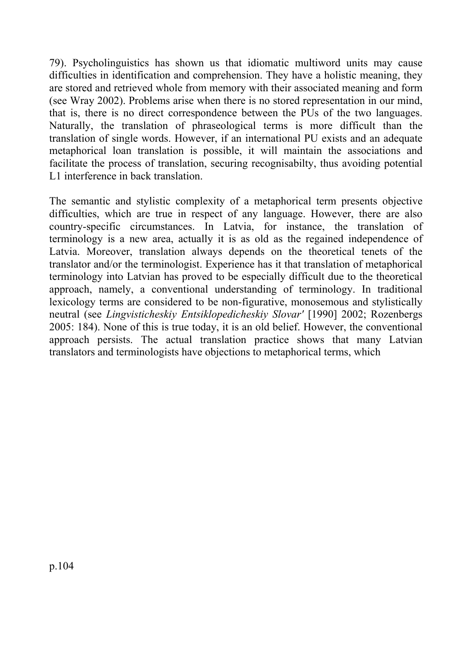79). Psycholinguistics has shown us that idiomatic multiword units may cause difficulties in identification and comprehension. They have a holistic meaning, they are stored and retrieved whole from memory with their associated meaning and form (see Wray 2002). Problems arise when there is no stored representation in our mind, that is, there is no direct correspondence between the PUs of the two languages. Naturally, the translation of phraseological terms is more difficult than the translation of single words. However, if an international PU exists and an adequate metaphorical loan translation is possible, it will maintain the associations and facilitate the process of translation, securing recognisabilty, thus avoiding potential L1 interference in back translation.

The semantic and stylistic complexity of a metaphorical term presents objective difficulties, which are true in respect of any language. However, there are also country-specific circumstances. In Latvia, for instance, the translation of terminology is a new area, actually it is as old as the regained independence of Latvia. Moreover, translation always depends on the theoretical tenets of the translator and/or the terminologist. Experience has it that translation of metaphorical terminology into Latvian has proved to be especially difficult due to the theoretical approach, namely, a conventional understanding of terminology. In traditional lexicology terms are considered to be non-figurative, monosemous and stylistically neutral (see *Lingvisticheskiy Entsiklopedicheskiy Slovar'* [1990] 2002; Rozenbergs 2005: 184). None of this is true today, it is an old belief. However, the conventional approach persists. The actual translation practice shows that many Latvian translators and terminologists have objections to metaphorical terms, which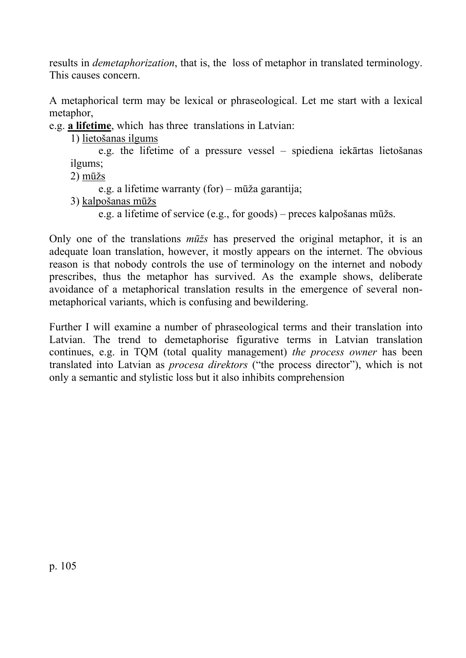results in *demetaphorization*, that is, the loss of metaphor in translated terminology. This causes concern.

A metaphorical term may be lexical or phraseological. Let me start with a lexical metaphor,

e.g. **a lifetime**, which has three translations in Latvian:

1) lietošanas ilgums

 e.g. the lifetime of a pressure vessel – spiediena iekārtas lietošanas ilgums;

2) mūžs

e.g. a lifetime warranty (for) – mūža garantija;

3) kalpošanas mūžs

e.g. a lifetime of service (e.g., for goods) – preces kalpošanas mūžs.

Only one of the translations *mūžs* has preserved the original metaphor, it is an adequate loan translation, however, it mostly appears on the internet. The obvious reason is that nobody controls the use of terminology on the internet and nobody prescribes, thus the metaphor has survived. As the example shows, deliberate avoidance of a metaphorical translation results in the emergence of several nonmetaphorical variants, which is confusing and bewildering.

Further I will examine a number of phraseological terms and their translation into Latvian. The trend to demetaphorise figurative terms in Latvian translation continues, e.g. in TQM (total quality management) *the process owner* has been translated into Latvian as *procesa direktors* ("the process director"), which is not only a semantic and stylistic loss but it also inhibits comprehension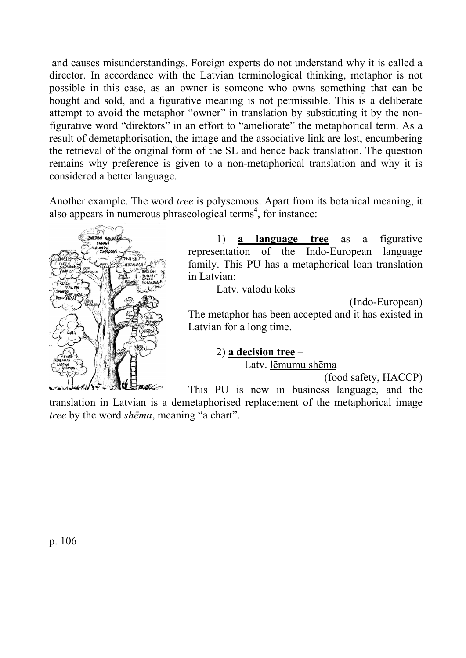and causes misunderstandings. Foreign experts do not understand why it is called a director. In accordance with the Latvian terminological thinking, metaphor is not possible in this case, as an owner is someone who owns something that can be bought and sold, and a figurative meaning is not permissible. This is a deliberate attempt to avoid the metaphor "owner" in translation by substituting it by the nonfigurative word "direktors" in an effort to "ameliorate" the metaphorical term. As a result of demetaphorisation, the image and the associative link are lost, encumbering the retrieval of the original form of the SL and hence back translation. The question remains why preference is given to a non-metaphorical translation and why it is considered a better language.

Another example. The word *tree* is polysemous. Apart from its botanical meaning, it also appears in numerous phraseological terms<sup>4</sup>, for instance:



1) **a language tree** as a figurative representation of the Indo-European language family. This PU has a metaphorical loan translation in Latvian:

Latv. valodu **koks** 

(Indo-European)

The metaphor has been accepted and it has existed in Latvian for a long time.

# 2) **a decision tree** –

Latv. lēmumu shēma

(food safety, HACCP)

This PU is new in business language, and the

translation in Latvian is a demetaphorised replacement of the metaphorical image *tree* by the word *shēma*, meaning "a chart".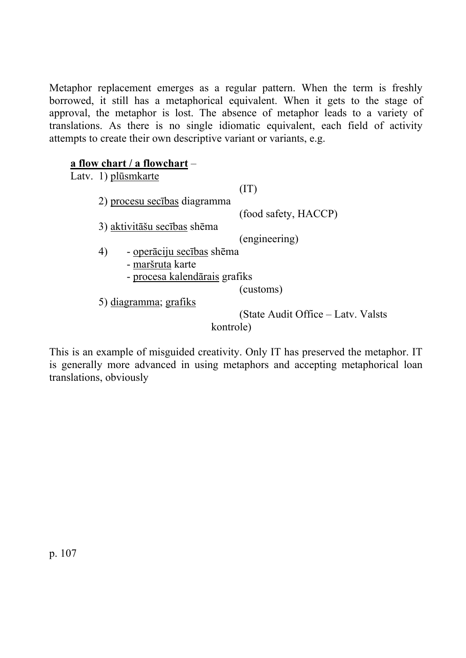Metaphor replacement emerges as a regular pattern. When the term is freshly borrowed, it still has a metaphorical equivalent. When it gets to the stage of approval, the metaphor is lost. The absence of metaphor leads to a variety of translations. As there is no single idiomatic equivalent, each field of activity attempts to create their own descriptive variant or variants, e.g.

#### **a flow chart / a flowchart** –

Latv. 1) plūsmkarte (IT) 2) procesu secības diagramma (food safety, HACCP) 3) aktivitāšu secības shēma (engineering) 4) - operāciju secības shēma - maršruta karte - procesa kalendārais grafiks (customs) 5) diagramma; grafiks (State Audit Office – Latv. Valsts kontrole)

This is an example of misguided creativity. Only IT has preserved the metaphor. IT is generally more advanced in using metaphors and accepting metaphorical loan translations, obviously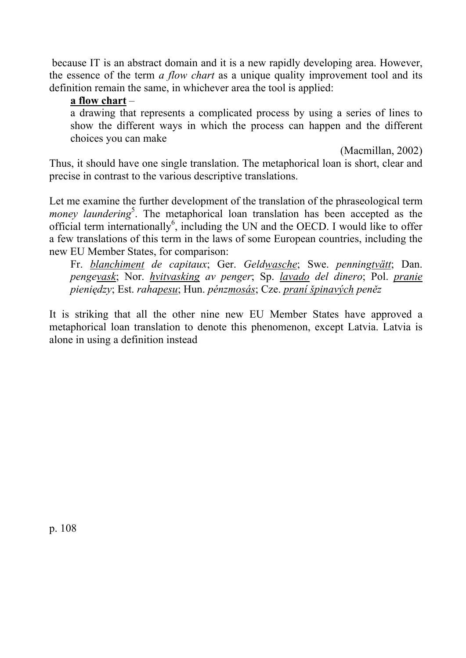because IT is an abstract domain and it is a new rapidly developing area. However, the essence of the term *a flow chart* as a unique quality improvement tool and its definition remain the same, in whichever area the tool is applied:

#### **a flow chart** –

a drawing that represents a complicated process by using a series of lines to show the different ways in which the process can happen and the different choices you can make

(Macmillan, 2002)

Thus, it should have one single translation. The metaphorical loan is short, clear and precise in contrast to the various descriptive translations.

Let me examine the further development of the translation of the phraseological term money laundering<sup>5</sup>. The metaphorical loan translation has been accepted as the official term internationally $6$ , including the UN and the OECD. I would like to offer a few translations of this term in the laws of some European countries, including the new EU Member States, for comparison:

Fr. *blanchiment de capitaux*; Ger. *Geldwasche*; Swe. *penningtvätt*; Dan. *pengevask*; Nor. *hvitvasking av penger*; Sp. *lavado del dinero*; Pol. *pranie pieniędzy*; Est. *rahapesu*; Hun. *pénzmosás*; Cze. *praní špinavých peněz* 

It is striking that all the other nine new EU Member States have approved a metaphorical loan translation to denote this phenomenon, except Latvia. Latvia is alone in using a definition instead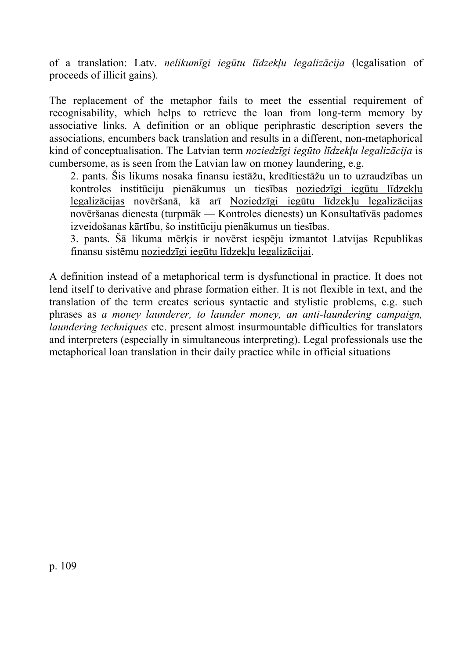of a translation: Latv. *nelikumīgi iegūtu līdzekļu legalizācija* (legalisation of proceeds of illicit gains).

The replacement of the metaphor fails to meet the essential requirement of recognisability, which helps to retrieve the loan from long-term memory by associative links. A definition or an oblique periphrastic description severs the associations, encumbers back translation and results in a different, non-metaphorical kind of conceptualisation. The Latvian term *noziedzīgi iegūto līdzekļu legalizācija* is cumbersome, as is seen from the Latvian law on money laundering, e.g.

2. pants. Šis likums nosaka finansu iestāžu, kredītiestāžu un to uzraudzības un kontroles institūciju pienākumus un tiesības noziedzīgi iegūtu līdzekļu legalizācijas novēršanā, kā arī Noziedzīgi iegūtu līdzekļu legalizācijas novēršanas dienesta (turpmāk — Kontroles dienests) un Konsultatīvās padomes izveidošanas kārtību, šo institūciju pienākumus un tiesības.

3. pants. Šā likuma mērķis ir novērst iespēju izmantot Latvijas Republikas finansu sistēmu noziedzīgi iegūtu līdzekļu legalizācijai.

A definition instead of a metaphorical term is dysfunctional in practice. It does not lend itself to derivative and phrase formation either. It is not flexible in text, and the translation of the term creates serious syntactic and stylistic problems, e.g. such phrases as *a money launderer, to launder money, an anti-laundering campaign, laundering techniques* etc. present almost insurmountable difficulties for translators and interpreters (especially in simultaneous interpreting). Legal professionals use the metaphorical loan translation in their daily practice while in official situations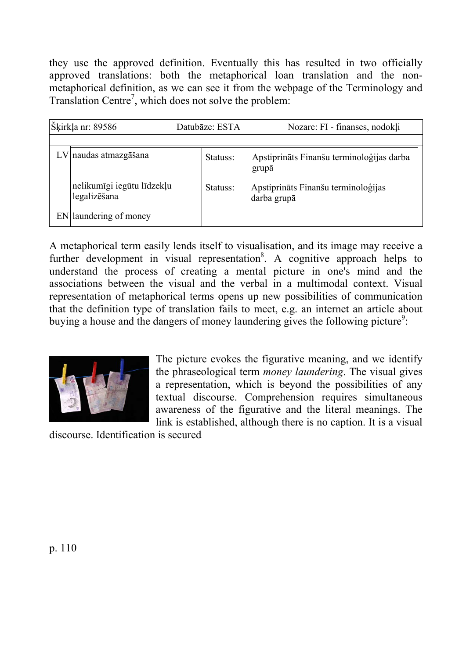they use the approved definition. Eventually this has resulted in two officially approved translations: both the metaphorical loan translation and the nonmetaphorical definition, as we can see it from the webpage of the Terminology and Translation Centre<sup>7</sup>, which does not solve the problem:

| Šķirkļa nr: 89586 |                                            | Datubāze: ESTA | Nozare: FI - finanses, nodokli                     |
|-------------------|--------------------------------------------|----------------|----------------------------------------------------|
|                   |                                            |                |                                                    |
|                   | $LV$   naudas atmazgāšana                  | Statuss:       | Apstiprināts Finanšu terminoloģijas darba<br>grupā |
|                   | nelikumīgi iegūtu līdzekļu<br>legalizēšana | Statuss:       | Apstiprināts Finanšu terminoloģijas<br>darba grupā |
|                   | EN laundering of money                     |                |                                                    |

A metaphorical term easily lends itself to visualisation, and its image may receive a further development in visual representation<sup>8</sup>. A cognitive approach helps to understand the process of creating a mental picture in one's mind and the associations between the visual and the verbal in a multimodal context. Visual representation of metaphorical terms opens up new possibilities of communication that the definition type of translation fails to meet, e.g. an internet an article about buying a house and the dangers of money laundering gives the following picture<sup>9</sup>:



The picture evokes the figurative meaning, and we identify the phraseological term *money laundering*. The visual gives a representation, which is beyond the possibilities of any textual discourse. Comprehension requires simultaneous awareness of the figurative and the literal meanings. The link is established, although there is no caption. It is a visual

discourse. Identification is secured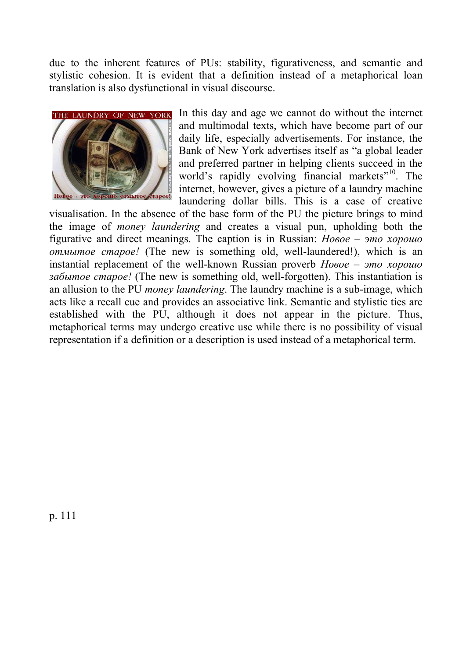due to the inherent features of PUs: stability, figurativeness, and semantic and stylistic cohesion. It is evident that a definition instead of a metaphorical loan translation is also dysfunctional in visual discourse.



In this day and age we cannot do without the internet and multimodal texts, which have become part of our daily life, especially advertisements. For instance, the Bank of New York advertises itself as "a global leader and preferred partner in helping clients succeed in the world's rapidly evolving financial markets<sup>"10</sup>. The internet, however, gives a picture of a laundry machine laundering dollar bills. This is a case of creative

visualisation. In the absence of the base form of the PU the picture brings to mind the image of *money laundering* and creates a visual pun, upholding both the figurative and direct meanings. The caption is in Russian: *Новое – это хорошо отмытое старое!* (The new is something old, well-laundered!), which is an instantial replacement of the well-known Russian proverb *Новое – это хорошо забытое старое!* (The new is something old, well-forgotten). This instantiation is an allusion to the PU *money laundering*. The laundry machine is a sub-image, which acts like a recall cue and provides an associative link. Semantic and stylistic ties are established with the PU, although it does not appear in the picture. Thus, metaphorical terms may undergo creative use while there is no possibility of visual representation if a definition or a description is used instead of a metaphorical term.

p. 111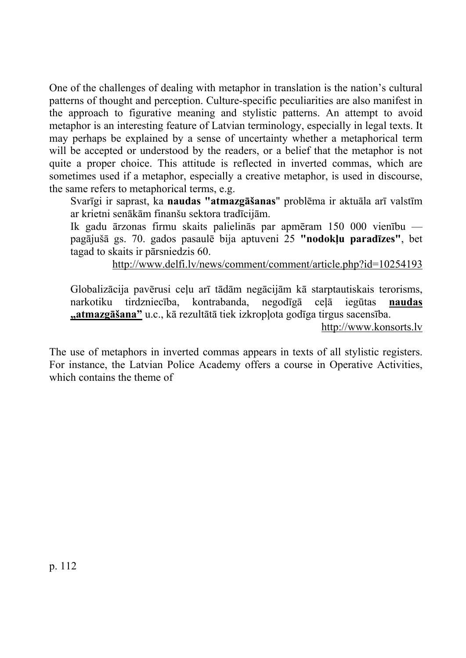One of the challenges of dealing with metaphor in translation is the nation's cultural patterns of thought and perception. Culture-specific peculiarities are also manifest in the approach to figurative meaning and stylistic patterns. An attempt to avoid metaphor is an interesting feature of Latvian terminology, especially in legal texts. It may perhaps be explained by a sense of uncertainty whether a metaphorical term will be accepted or understood by the readers, or a belief that the metaphor is not quite a proper choice. This attitude is reflected in inverted commas, which are sometimes used if a metaphor, especially a creative metaphor, is used in discourse, the same refers to metaphorical terms, e.g.

Svarīgi ir saprast, ka **naudas "atmazgāšanas**" problēma ir aktuāla arī valstīm ar krietni senākām finanšu sektora tradīcijām.

Ik gadu ārzonas firmu skaits palielinās par apmēram 150 000 vienību pagājušā gs. 70. gados pasaulē bija aptuveni 25 **"nodokļu paradīzes"**, bet tagad to skaits ir pārsniedzis 60.

http://www.delfi.lv/news/comment/comment/article.php?id=10254193

Globalizācija pavērusi ceļu arī tādām negācijām kā starptautiskais terorisms, narkotiku tirdzniecība, kontrabanda, negodīgā ceļā iegūtas **naudas "atmazgāšana"** u.c., kā rezultātā tiek izkropļota godīga tirgus sacensība. http://www.konsorts.lv

The use of metaphors in inverted commas appears in texts of all stylistic registers. For instance, the Latvian Police Academy offers a course in Operative Activities, which contains the theme of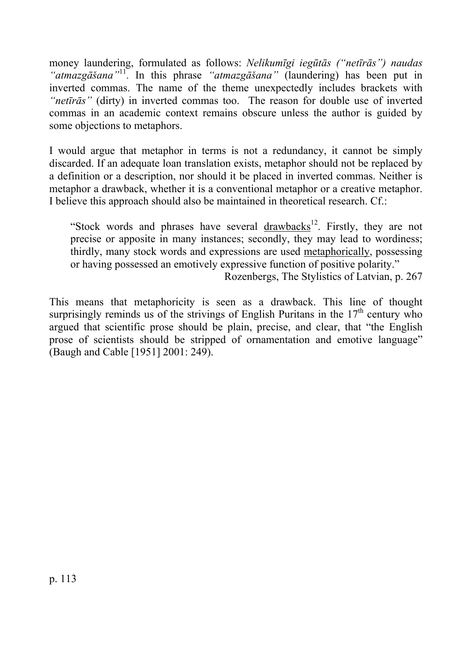money laundering, formulated as follows: *Nelikumīgi iegūtās ("netīrās") naudas "atmazgāšana"*11. In this phrase *"atmazgāšana"* (laundering) has been put in inverted commas. The name of the theme unexpectedly includes brackets with *"netīrās"* (dirty) in inverted commas too. The reason for double use of inverted commas in an academic context remains obscure unless the author is guided by some objections to metaphors.

I would argue that metaphor in terms is not a redundancy, it cannot be simply discarded. If an adequate loan translation exists, metaphor should not be replaced by a definition or a description, nor should it be placed in inverted commas. Neither is metaphor a drawback, whether it is a conventional metaphor or a creative metaphor. I believe this approach should also be maintained in theoretical research. Cf.:

"Stock words and phrases have several drawbacks<sup>12</sup>. Firstly, they are not precise or apposite in many instances; secondly, they may lead to wordiness; thirdly, many stock words and expressions are used metaphorically, possessing or having possessed an emotively expressive function of positive polarity." Rozenbergs, The Stylistics of Latvian, p. 267

This means that metaphoricity is seen as a drawback. This line of thought surprisingly reminds us of the strivings of English Puritans in the  $17<sup>th</sup>$  century who argued that scientific prose should be plain, precise, and clear, that "the English prose of scientists should be stripped of ornamentation and emotive language" (Baugh and Cable [1951] 2001: 249).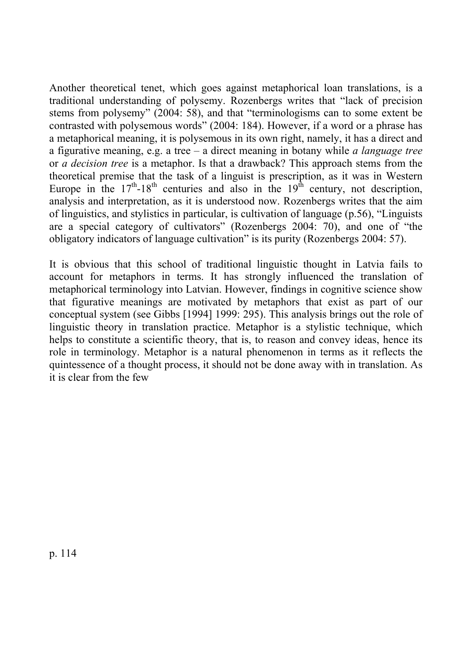Another theoretical tenet, which goes against metaphorical loan translations, is a traditional understanding of polysemy. Rozenbergs writes that "lack of precision stems from polysemy" (2004: 58), and that "terminologisms can to some extent be contrasted with polysemous words" (2004: 184). However, if a word or a phrase has a metaphorical meaning, it is polysemous in its own right, namely, it has a direct and a figurative meaning, e.g. a tree – a direct meaning in botany while *a language tree* or *a decision tree* is a metaphor. Is that a drawback? This approach stems from the theoretical premise that the task of a linguist is prescription, as it was in Western Europe in the  $17<sup>th</sup> - 18<sup>th</sup>$  centuries and also in the  $19<sup>th</sup>$  century, not description, analysis and interpretation, as it is understood now. Rozenbergs writes that the aim of linguistics, and stylistics in particular, is cultivation of language (p.56), "Linguists are a special category of cultivators" (Rozenbergs 2004: 70), and one of "the obligatory indicators of language cultivation" is its purity (Rozenbergs 2004: 57).

It is obvious that this school of traditional linguistic thought in Latvia fails to account for metaphors in terms. It has strongly influenced the translation of metaphorical terminology into Latvian. However, findings in cognitive science show that figurative meanings are motivated by metaphors that exist as part of our conceptual system (see Gibbs [1994] 1999: 295). This analysis brings out the role of linguistic theory in translation practice. Metaphor is a stylistic technique, which helps to constitute a scientific theory, that is, to reason and convey ideas, hence its role in terminology. Metaphor is a natural phenomenon in terms as it reflects the quintessence of a thought process, it should not be done away with in translation. As it is clear from the few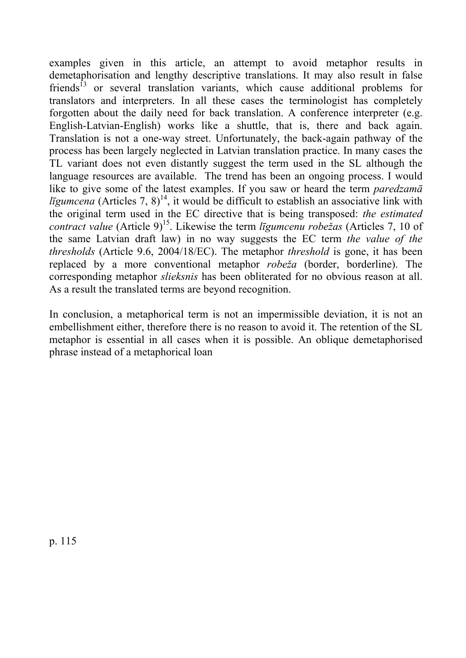examples given in this article, an attempt to avoid metaphor results in demetaphorisation and lengthy descriptive translations. It may also result in false friends<sup>13</sup> or several translation variants, which cause additional problems for translators and interpreters. In all these cases the terminologist has completely forgotten about the daily need for back translation. A conference interpreter (e.g. English-Latvian-English) works like a shuttle, that is, there and back again. Translation is not a one-way street. Unfortunately, the back-again pathway of the process has been largely neglected in Latvian translation practice. In many cases the TL variant does not even distantly suggest the term used in the SL although the language resources are available. The trend has been an ongoing process. I would like to give some of the latest examples. If you saw or heard the term *paredzamā ligumcena* (Articles 7, 8)<sup>14</sup>, it would be difficult to establish an associative link with the original term used in the EC directive that is being transposed: *the estimated contract value* (Article 9)15. Likewise the term *līgumcenu robežas* (Articles 7, 10 of the same Latvian draft law) in no way suggests the EC term *the value of the thresholds* (Article 9.6, 2004/18/EC). The metaphor *threshold* is gone, it has been replaced by a more conventional metaphor *robeža* (border, borderline). The corresponding metaphor *slieksnis* has been obliterated for no obvious reason at all. As a result the translated terms are beyond recognition.

In conclusion, a metaphorical term is not an impermissible deviation, it is not an embellishment either, therefore there is no reason to avoid it. The retention of the SL metaphor is essential in all cases when it is possible. An oblique demetaphorised phrase instead of a metaphorical loan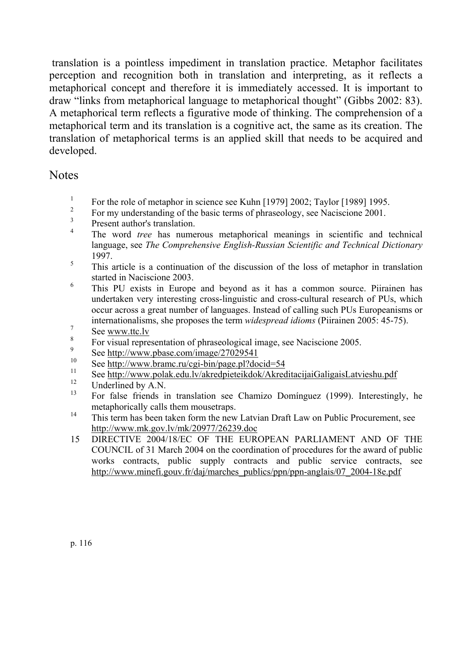translation is a pointless impediment in translation practice. Metaphor facilitates perception and recognition both in translation and interpreting, as it reflects a metaphorical concept and therefore it is immediately accessed. It is important to draw "links from metaphorical language to metaphorical thought" (Gibbs 2002: 83). A metaphorical term reflects a figurative mode of thinking. The comprehension of a metaphorical term and its translation is a cognitive act, the same as its creation. The translation of metaphorical terms is an applied skill that needs to be acquired and developed.

### **Notes**

- <sup>1</sup> For the role of metaphor in science see Kuhn [1979] 2002; Taylor [1989] 1995.
- <sup>2</sup> For my understanding of the basic terms of phraseology, see Naciscione 2001.
- $\frac{3}{4}$  Present author's translation.
- <sup>4</sup> The word *tree* has numerous metaphorical meanings in scientific and technical language, see *The Comprehensive English-Russian Scientific and Technical Dictionary* 1997.
- <sup>5</sup> This article is a continuation of the discussion of the loss of metaphor in translation started in Naciscione 2003.
- <sup>6</sup> This PU exists in Europe and beyond as it has a common source. Piirainen has undertaken very interesting cross-linguistic and cross-cultural research of PUs, which occur across a great number of languages. Instead of calling such PUs Europeanisms or internationalisms, she proposes the term *widespread idioms* (Piirainen 2005: 45-75).
- $\frac{7}{8}$  See www.ttc.lv
- <sup>8</sup> For visual representation of phraseological image, see Naciscione 2005.
- $^{9}$  See http://www.pbase.com/image/27029541
- <sup>10</sup> See <u>http://www.bramc.ru/cgi-bin/page.pl?docid=54</u><br> $\frac{11}{2}$  See http://www.bramc.ru/cgi-bin/page.pl?docid=54
- <sup>11</sup> See <u>http://www.polak.edu.lv/akredpieteikdok/AkreditacijaiGaligaisLatvieshu.pdf</u>
- $^{12}$  Underlined by A.N.
- 13 For false friends in translation see Chamizo Domínguez (1999). Interestingly, he metaphorically calls them mousetraps.
- <sup>14</sup> This term has been taken form the new Latvian Draft Law on Public Procurement, see http://www.mk.gov.lv/mk/20977/26239.doc
- 15 DIRECTIVE 2004/18/EC OF THE EUROPEAN PARLIAMENT AND OF THE COUNCIL of 31 March 2004 on the coordination of procedures for the award of public works contracts, public supply contracts and public service contracts, see http://www.minefi.gouv.fr/daj/marches\_publics/ppn/ppn-anglais/07\_2004-18e.pdf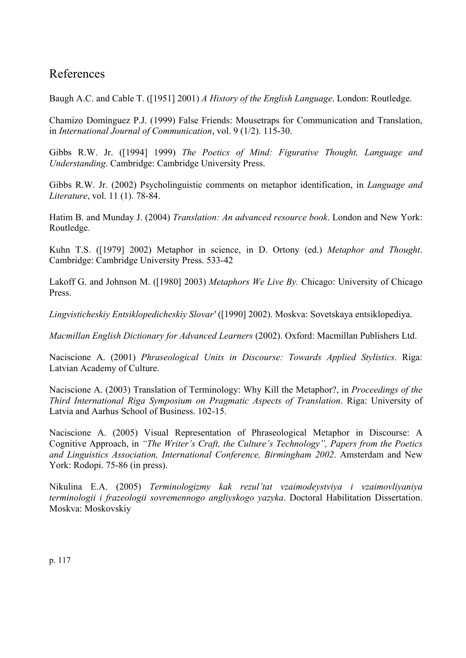## References

Baugh A.C. and Cable T. ([1951] 2001) *A History of the English Language*. London: Routledge.

Chamizo Domínguez P.J. (1999) False Friends: Mousetraps for Communication and Translation, in *International Journal of Communication*, vol. 9 (1/2). 115-30.

Gibbs R.W. Jr. ([1994] 1999) *The Poetics of Mind: Figurative Thought, Language and Understanding*. Cambridge: Cambridge University Press.

Gibbs R.W. Jr. (2002) Psycholinguistic comments on metaphor identification, in *Language and Literature*, vol. 11 (1). 78-84.

Hatim B. and Munday J. (2004) *Translation: An advanced resource book*. London and New York: Routledge.

Kuhn T.S. ([1979] 2002) Metaphor in science, in D. Ortony (ed.) *Metaphor and Thought*. Cambridge: Cambridge University Press. 533-42

Lakoff G. and Johnson M. ([1980] 2003) *Metaphors We Live By.* Chicago: University of Chicago Press.

*Lingvisticheskiy Entsiklopedicheskiy Slovar'* ([1990] 2002). Moskva: Sovetskaya entsiklopediya.

*Macmillan English Dictionary for Advanced Learners* (2002). Oxford: Macmillan Publishers Ltd.

Naciscione A. (2001) *Phraseological Units in Discourse: Towards Applied Stylistics*. Riga: Latvian Academy of Culture.

Naciscione A. (2003) Translation of Terminology: Why Kill the Metaphor?, in *Proceedings of the Third International Riga Symposium on Pragmatic Aspects of Translation*. Riga: University of Latvia and Aarhus School of Business. 102-15.

Naciscione A. (2005) Visual Representation of Phraseological Metaphor in Discourse: A Cognitive Approach, in *"The Writer's Craft, the Culture's Technology", Papers from the Poetics and Linguistics Association, International Conference, Birmingham 2002*. Amsterdam and New York: Rodopi. 75-86 (in press).

Nikulina E.A. (2005) *Terminologizmy kak rezul'tat vzaimodeystviya i vzaimovliyaniya terminologii i frazeologii sovremennogo angliyskogo yazyka*. Doctoral Habilitation Dissertation. Moskva: Moskovskiy

p. 117